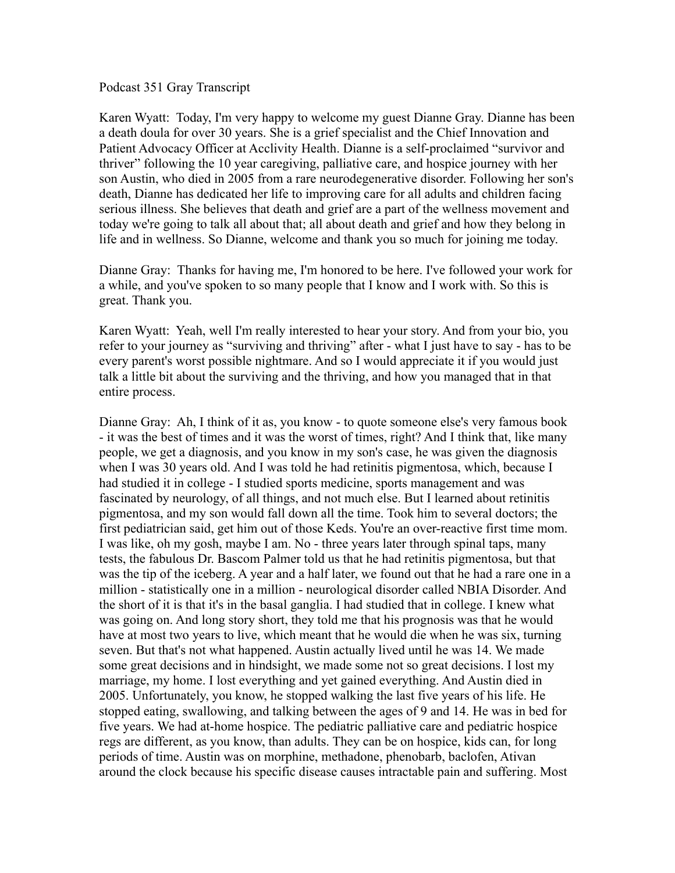Podcast 351 Gray Transcript

Karen Wyatt: Today, I'm very happy to welcome my guest Dianne Gray. Dianne has been a death doula for over 30 years. She is a grief specialist and the Chief Innovation and Patient Advocacy Officer at Acclivity Health. Dianne is a self-proclaimed "survivor and thriver" following the 10 year caregiving, palliative care, and hospice journey with her son Austin, who died in 2005 from a rare neurodegenerative disorder. Following her son's death, Dianne has dedicated her life to improving care for all adults and children facing serious illness. She believes that death and grief are a part of the wellness movement and today we're going to talk all about that; all about death and grief and how they belong in life and in wellness. So Dianne, welcome and thank you so much for joining me today.

Dianne Gray: Thanks for having me, I'm honored to be here. I've followed your work for a while, and you've spoken to so many people that I know and I work with. So this is great. Thank you.

Karen Wyatt: Yeah, well I'm really interested to hear your story. And from your bio, you refer to your journey as "surviving and thriving" after - what I just have to say - has to be every parent's worst possible nightmare. And so I would appreciate it if you would just talk a little bit about the surviving and the thriving, and how you managed that in that entire process.

Dianne Gray: Ah, I think of it as, you know - to quote someone else's very famous book - it was the best of times and it was the worst of times, right? And I think that, like many people, we get a diagnosis, and you know in my son's case, he was given the diagnosis when I was 30 years old. And I was told he had retinitis pigmentosa, which, because I had studied it in college - I studied sports medicine, sports management and was fascinated by neurology, of all things, and not much else. But I learned about retinitis pigmentosa, and my son would fall down all the time. Took him to several doctors; the first pediatrician said, get him out of those Keds. You're an over-reactive first time mom. I was like, oh my gosh, maybe I am. No - three years later through spinal taps, many tests, the fabulous Dr. Bascom Palmer told us that he had retinitis pigmentosa, but that was the tip of the iceberg. A year and a half later, we found out that he had a rare one in a million - statistically one in a million - neurological disorder called NBIA Disorder. And the short of it is that it's in the basal ganglia. I had studied that in college. I knew what was going on. And long story short, they told me that his prognosis was that he would have at most two years to live, which meant that he would die when he was six, turning seven. But that's not what happened. Austin actually lived until he was 14. We made some great decisions and in hindsight, we made some not so great decisions. I lost my marriage, my home. I lost everything and yet gained everything. And Austin died in 2005. Unfortunately, you know, he stopped walking the last five years of his life. He stopped eating, swallowing, and talking between the ages of 9 and 14. He was in bed for five years. We had at-home hospice. The pediatric palliative care and pediatric hospice regs are different, as you know, than adults. They can be on hospice, kids can, for long periods of time. Austin was on morphine, methadone, phenobarb, baclofen, Ativan around the clock because his specific disease causes intractable pain and suffering. Most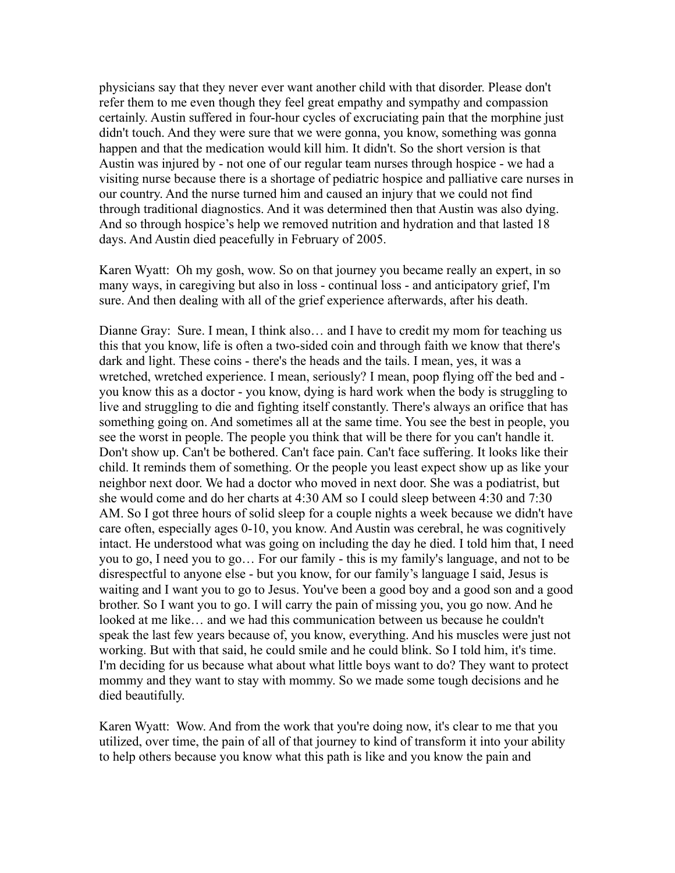physicians say that they never ever want another child with that disorder. Please don't refer them to me even though they feel great empathy and sympathy and compassion certainly. Austin suffered in four-hour cycles of excruciating pain that the morphine just didn't touch. And they were sure that we were gonna, you know, something was gonna happen and that the medication would kill him. It didn't. So the short version is that Austin was injured by - not one of our regular team nurses through hospice - we had a visiting nurse because there is a shortage of pediatric hospice and palliative care nurses in our country. And the nurse turned him and caused an injury that we could not find through traditional diagnostics. And it was determined then that Austin was also dying. And so through hospice's help we removed nutrition and hydration and that lasted 18 days. And Austin died peacefully in February of 2005.

Karen Wyatt: Oh my gosh, wow. So on that journey you became really an expert, in so many ways, in caregiving but also in loss - continual loss - and anticipatory grief, I'm sure. And then dealing with all of the grief experience afterwards, after his death.

Dianne Gray: Sure. I mean, I think also… and I have to credit my mom for teaching us this that you know, life is often a two-sided coin and through faith we know that there's dark and light. These coins - there's the heads and the tails. I mean, yes, it was a wretched, wretched experience. I mean, seriously? I mean, poop flying off the bed and you know this as a doctor - you know, dying is hard work when the body is struggling to live and struggling to die and fighting itself constantly. There's always an orifice that has something going on. And sometimes all at the same time. You see the best in people, you see the worst in people. The people you think that will be there for you can't handle it. Don't show up. Can't be bothered. Can't face pain. Can't face suffering. It looks like their child. It reminds them of something. Or the people you least expect show up as like your neighbor next door. We had a doctor who moved in next door. She was a podiatrist, but she would come and do her charts at 4:30 AM so I could sleep between 4:30 and 7:30 AM. So I got three hours of solid sleep for a couple nights a week because we didn't have care often, especially ages 0-10, you know. And Austin was cerebral, he was cognitively intact. He understood what was going on including the day he died. I told him that, I need you to go, I need you to go… For our family - this is my family's language, and not to be disrespectful to anyone else - but you know, for our family's language I said, Jesus is waiting and I want you to go to Jesus. You've been a good boy and a good son and a good brother. So I want you to go. I will carry the pain of missing you, you go now. And he looked at me like… and we had this communication between us because he couldn't speak the last few years because of, you know, everything. And his muscles were just not working. But with that said, he could smile and he could blink. So I told him, it's time. I'm deciding for us because what about what little boys want to do? They want to protect mommy and they want to stay with mommy. So we made some tough decisions and he died beautifully.

Karen Wyatt: Wow. And from the work that you're doing now, it's clear to me that you utilized, over time, the pain of all of that journey to kind of transform it into your ability to help others because you know what this path is like and you know the pain and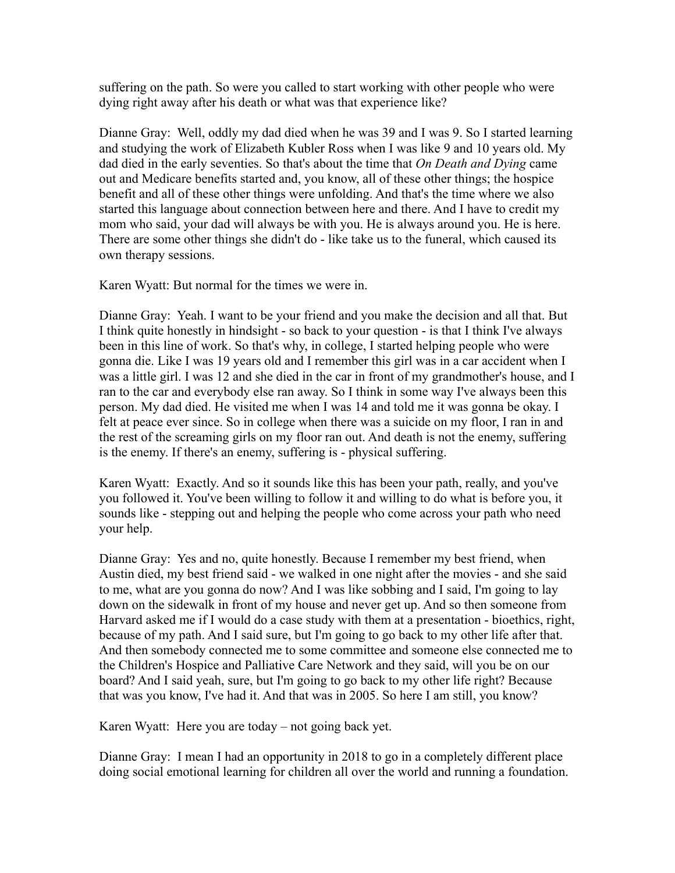suffering on the path. So were you called to start working with other people who were dying right away after his death or what was that experience like?

Dianne Gray: Well, oddly my dad died when he was 39 and I was 9. So I started learning and studying the work of Elizabeth Kubler Ross when I was like 9 and 10 years old. My dad died in the early seventies. So that's about the time that *On Death and Dying* came out and Medicare benefits started and, you know, all of these other things; the hospice benefit and all of these other things were unfolding. And that's the time where we also started this language about connection between here and there. And I have to credit my mom who said, your dad will always be with you. He is always around you. He is here. There are some other things she didn't do - like take us to the funeral, which caused its own therapy sessions.

Karen Wyatt: But normal for the times we were in.

Dianne Gray: Yeah. I want to be your friend and you make the decision and all that. But I think quite honestly in hindsight - so back to your question - is that I think I've always been in this line of work. So that's why, in college, I started helping people who were gonna die. Like I was 19 years old and I remember this girl was in a car accident when I was a little girl. I was 12 and she died in the car in front of my grandmother's house, and I ran to the car and everybody else ran away. So I think in some way I've always been this person. My dad died. He visited me when I was 14 and told me it was gonna be okay. I felt at peace ever since. So in college when there was a suicide on my floor, I ran in and the rest of the screaming girls on my floor ran out. And death is not the enemy, suffering is the enemy. If there's an enemy, suffering is - physical suffering.

Karen Wyatt: Exactly. And so it sounds like this has been your path, really, and you've you followed it. You've been willing to follow it and willing to do what is before you, it sounds like - stepping out and helping the people who come across your path who need your help.

Dianne Gray: Yes and no, quite honestly. Because I remember my best friend, when Austin died, my best friend said - we walked in one night after the movies - and she said to me, what are you gonna do now? And I was like sobbing and I said, I'm going to lay down on the sidewalk in front of my house and never get up. And so then someone from Harvard asked me if I would do a case study with them at a presentation - bioethics, right, because of my path. And I said sure, but I'm going to go back to my other life after that. And then somebody connected me to some committee and someone else connected me to the Children's Hospice and Palliative Care Network and they said, will you be on our board? And I said yeah, sure, but I'm going to go back to my other life right? Because that was you know, I've had it. And that was in 2005. So here I am still, you know?

Karen Wyatt: Here you are today – not going back yet.

Dianne Gray: I mean I had an opportunity in 2018 to go in a completely different place doing social emotional learning for children all over the world and running a foundation.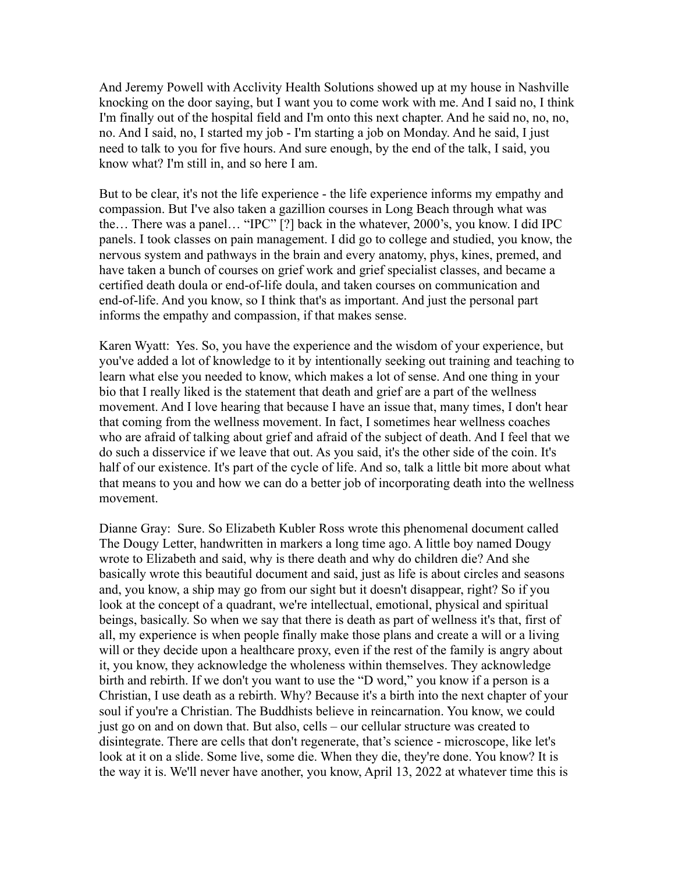And Jeremy Powell with Acclivity Health Solutions showed up at my house in Nashville knocking on the door saying, but I want you to come work with me. And I said no, I think I'm finally out of the hospital field and I'm onto this next chapter. And he said no, no, no, no. And I said, no, I started my job - I'm starting a job on Monday. And he said, I just need to talk to you for five hours. And sure enough, by the end of the talk, I said, you know what? I'm still in, and so here I am.

But to be clear, it's not the life experience - the life experience informs my empathy and compassion. But I've also taken a gazillion courses in Long Beach through what was the… There was a panel… "IPC" [?] back in the whatever, 2000's, you know. I did IPC panels. I took classes on pain management. I did go to college and studied, you know, the nervous system and pathways in the brain and every anatomy, phys, kines, premed, and have taken a bunch of courses on grief work and grief specialist classes, and became a certified death doula or end-of-life doula, and taken courses on communication and end-of-life. And you know, so I think that's as important. And just the personal part informs the empathy and compassion, if that makes sense.

Karen Wyatt: Yes. So, you have the experience and the wisdom of your experience, but you've added a lot of knowledge to it by intentionally seeking out training and teaching to learn what else you needed to know, which makes a lot of sense. And one thing in your bio that I really liked is the statement that death and grief are a part of the wellness movement. And I love hearing that because I have an issue that, many times, I don't hear that coming from the wellness movement. In fact, I sometimes hear wellness coaches who are afraid of talking about grief and afraid of the subject of death. And I feel that we do such a disservice if we leave that out. As you said, it's the other side of the coin. It's half of our existence. It's part of the cycle of life. And so, talk a little bit more about what that means to you and how we can do a better job of incorporating death into the wellness movement.

Dianne Gray: Sure. So Elizabeth Kubler Ross wrote this phenomenal document called The Dougy Letter, handwritten in markers a long time ago. A little boy named Dougy wrote to Elizabeth and said, why is there death and why do children die? And she basically wrote this beautiful document and said, just as life is about circles and seasons and, you know, a ship may go from our sight but it doesn't disappear, right? So if you look at the concept of a quadrant, we're intellectual, emotional, physical and spiritual beings, basically. So when we say that there is death as part of wellness it's that, first of all, my experience is when people finally make those plans and create a will or a living will or they decide upon a healthcare proxy, even if the rest of the family is angry about it, you know, they acknowledge the wholeness within themselves. They acknowledge birth and rebirth. If we don't you want to use the "D word," you know if a person is a Christian, I use death as a rebirth. Why? Because it's a birth into the next chapter of your soul if you're a Christian. The Buddhists believe in reincarnation. You know, we could just go on and on down that. But also, cells – our cellular structure was created to disintegrate. There are cells that don't regenerate, that's science - microscope, like let's look at it on a slide. Some live, some die. When they die, they're done. You know? It is the way it is. We'll never have another, you know, April 13, 2022 at whatever time this is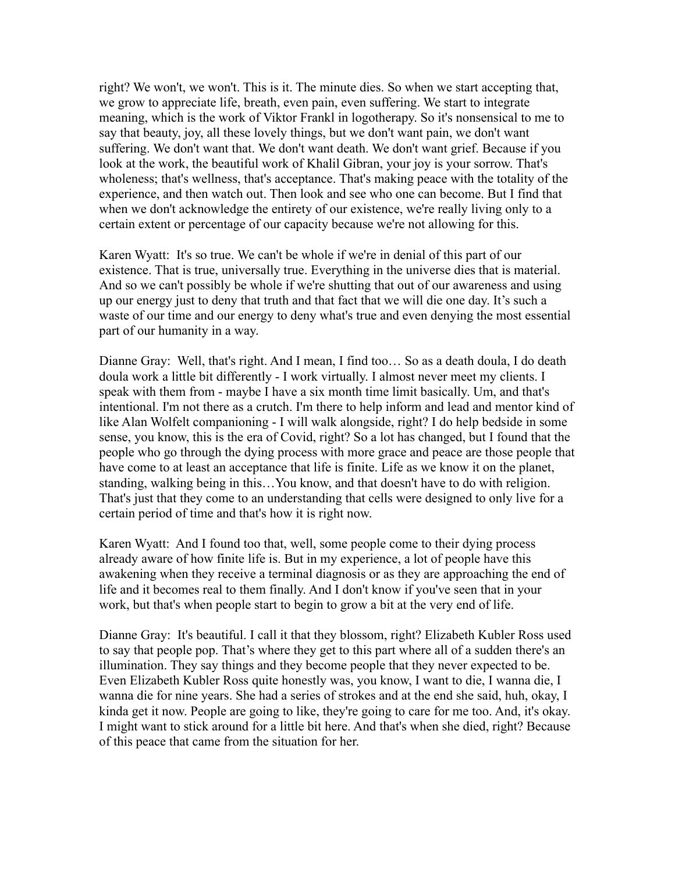right? We won't, we won't. This is it. The minute dies. So when we start accepting that, we grow to appreciate life, breath, even pain, even suffering. We start to integrate meaning, which is the work of Viktor Frankl in logotherapy. So it's nonsensical to me to say that beauty, joy, all these lovely things, but we don't want pain, we don't want suffering. We don't want that. We don't want death. We don't want grief. Because if you look at the work, the beautiful work of Khalil Gibran, your joy is your sorrow. That's wholeness; that's wellness, that's acceptance. That's making peace with the totality of the experience, and then watch out. Then look and see who one can become. But I find that when we don't acknowledge the entirety of our existence, we're really living only to a certain extent or percentage of our capacity because we're not allowing for this.

Karen Wyatt: It's so true. We can't be whole if we're in denial of this part of our existence. That is true, universally true. Everything in the universe dies that is material. And so we can't possibly be whole if we're shutting that out of our awareness and using up our energy just to deny that truth and that fact that we will die one day. It's such a waste of our time and our energy to deny what's true and even denying the most essential part of our humanity in a way.

Dianne Gray: Well, that's right. And I mean, I find too… So as a death doula, I do death doula work a little bit differently - I work virtually. I almost never meet my clients. I speak with them from - maybe I have a six month time limit basically. Um, and that's intentional. I'm not there as a crutch. I'm there to help inform and lead and mentor kind of like Alan Wolfelt companioning - I will walk alongside, right? I do help bedside in some sense, you know, this is the era of Covid, right? So a lot has changed, but I found that the people who go through the dying process with more grace and peace are those people that have come to at least an acceptance that life is finite. Life as we know it on the planet, standing, walking being in this…You know, and that doesn't have to do with religion. That's just that they come to an understanding that cells were designed to only live for a certain period of time and that's how it is right now.

Karen Wyatt: And I found too that, well, some people come to their dying process already aware of how finite life is. But in my experience, a lot of people have this awakening when they receive a terminal diagnosis or as they are approaching the end of life and it becomes real to them finally. And I don't know if you've seen that in your work, but that's when people start to begin to grow a bit at the very end of life.

Dianne Gray: It's beautiful. I call it that they blossom, right? Elizabeth Kubler Ross used to say that people pop. That's where they get to this part where all of a sudden there's an illumination. They say things and they become people that they never expected to be. Even Elizabeth Kubler Ross quite honestly was, you know, I want to die, I wanna die, I wanna die for nine years. She had a series of strokes and at the end she said, huh, okay, I kinda get it now. People are going to like, they're going to care for me too. And, it's okay. I might want to stick around for a little bit here. And that's when she died, right? Because of this peace that came from the situation for her.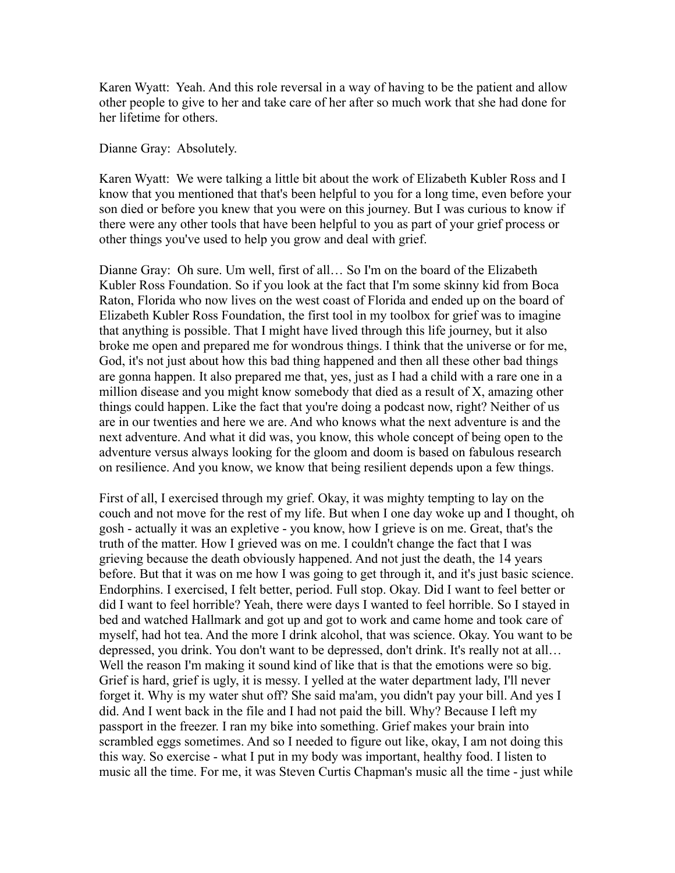Karen Wyatt: Yeah. And this role reversal in a way of having to be the patient and allow other people to give to her and take care of her after so much work that she had done for her lifetime for others.

Dianne Gray: Absolutely.

Karen Wyatt: We were talking a little bit about the work of Elizabeth Kubler Ross and I know that you mentioned that that's been helpful to you for a long time, even before your son died or before you knew that you were on this journey. But I was curious to know if there were any other tools that have been helpful to you as part of your grief process or other things you've used to help you grow and deal with grief.

Dianne Gray: Oh sure. Um well, first of all… So I'm on the board of the Elizabeth Kubler Ross Foundation. So if you look at the fact that I'm some skinny kid from Boca Raton, Florida who now lives on the west coast of Florida and ended up on the board of Elizabeth Kubler Ross Foundation, the first tool in my toolbox for grief was to imagine that anything is possible. That I might have lived through this life journey, but it also broke me open and prepared me for wondrous things. I think that the universe or for me, God, it's not just about how this bad thing happened and then all these other bad things are gonna happen. It also prepared me that, yes, just as I had a child with a rare one in a million disease and you might know somebody that died as a result of X, amazing other things could happen. Like the fact that you're doing a podcast now, right? Neither of us are in our twenties and here we are. And who knows what the next adventure is and the next adventure. And what it did was, you know, this whole concept of being open to the adventure versus always looking for the gloom and doom is based on fabulous research on resilience. And you know, we know that being resilient depends upon a few things.

First of all, I exercised through my grief. Okay, it was mighty tempting to lay on the couch and not move for the rest of my life. But when I one day woke up and I thought, oh gosh - actually it was an expletive - you know, how I grieve is on me. Great, that's the truth of the matter. How I grieved was on me. I couldn't change the fact that I was grieving because the death obviously happened. And not just the death, the 14 years before. But that it was on me how I was going to get through it, and it's just basic science. Endorphins. I exercised, I felt better, period. Full stop. Okay. Did I want to feel better or did I want to feel horrible? Yeah, there were days I wanted to feel horrible. So I stayed in bed and watched Hallmark and got up and got to work and came home and took care of myself, had hot tea. And the more I drink alcohol, that was science. Okay. You want to be depressed, you drink. You don't want to be depressed, don't drink. It's really not at all… Well the reason I'm making it sound kind of like that is that the emotions were so big. Grief is hard, grief is ugly, it is messy. I yelled at the water department lady, I'll never forget it. Why is my water shut off? She said ma'am, you didn't pay your bill. And yes I did. And I went back in the file and I had not paid the bill. Why? Because I left my passport in the freezer. I ran my bike into something. Grief makes your brain into scrambled eggs sometimes. And so I needed to figure out like, okay, I am not doing this this way. So exercise - what I put in my body was important, healthy food. I listen to music all the time. For me, it was Steven Curtis Chapman's music all the time - just while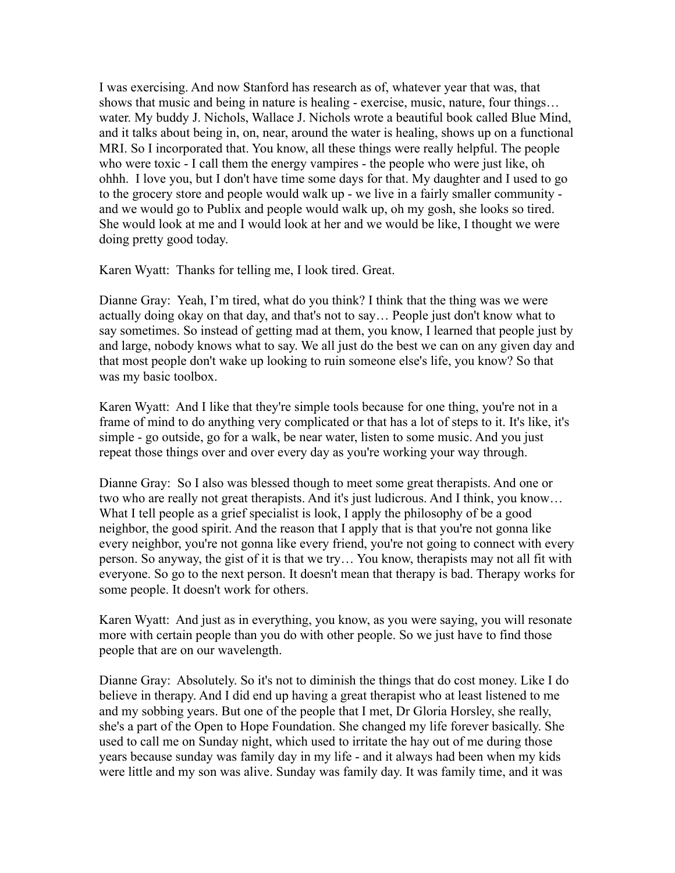I was exercising. And now Stanford has research as of, whatever year that was, that shows that music and being in nature is healing - exercise, music, nature, four things… water. My buddy J. Nichols, Wallace J. Nichols wrote a beautiful book called Blue Mind, and it talks about being in, on, near, around the water is healing, shows up on a functional MRI. So I incorporated that. You know, all these things were really helpful. The people who were toxic - I call them the energy vampires - the people who were just like, oh ohhh. I love you, but I don't have time some days for that. My daughter and I used to go to the grocery store and people would walk up - we live in a fairly smaller community and we would go to Publix and people would walk up, oh my gosh, she looks so tired. She would look at me and I would look at her and we would be like, I thought we were doing pretty good today.

Karen Wyatt: Thanks for telling me, I look tired. Great.

Dianne Gray: Yeah, I'm tired, what do you think? I think that the thing was we were actually doing okay on that day, and that's not to say… People just don't know what to say sometimes. So instead of getting mad at them, you know, I learned that people just by and large, nobody knows what to say. We all just do the best we can on any given day and that most people don't wake up looking to ruin someone else's life, you know? So that was my basic toolbox.

Karen Wyatt: And I like that they're simple tools because for one thing, you're not in a frame of mind to do anything very complicated or that has a lot of steps to it. It's like, it's simple - go outside, go for a walk, be near water, listen to some music. And you just repeat those things over and over every day as you're working your way through.

Dianne Gray: So I also was blessed though to meet some great therapists. And one or two who are really not great therapists. And it's just ludicrous. And I think, you know… What I tell people as a grief specialist is look, I apply the philosophy of be a good neighbor, the good spirit. And the reason that I apply that is that you're not gonna like every neighbor, you're not gonna like every friend, you're not going to connect with every person. So anyway, the gist of it is that we try… You know, therapists may not all fit with everyone. So go to the next person. It doesn't mean that therapy is bad. Therapy works for some people. It doesn't work for others.

Karen Wyatt: And just as in everything, you know, as you were saying, you will resonate more with certain people than you do with other people. So we just have to find those people that are on our wavelength.

Dianne Gray: Absolutely. So it's not to diminish the things that do cost money. Like I do believe in therapy. And I did end up having a great therapist who at least listened to me and my sobbing years. But one of the people that I met, Dr Gloria Horsley, she really, she's a part of the Open to Hope Foundation. She changed my life forever basically. She used to call me on Sunday night, which used to irritate the hay out of me during those years because sunday was family day in my life - and it always had been when my kids were little and my son was alive. Sunday was family day. It was family time, and it was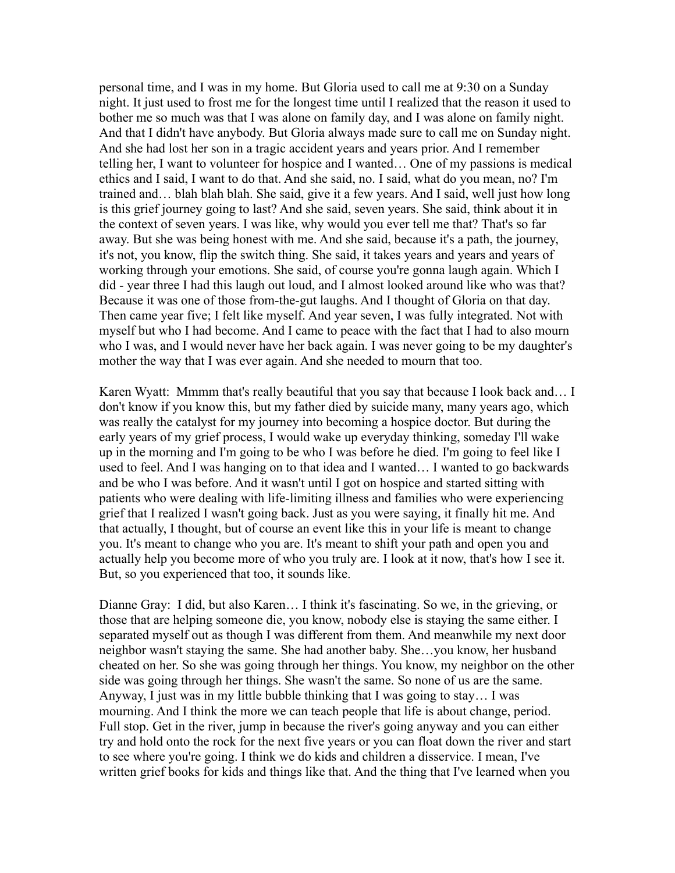personal time, and I was in my home. But Gloria used to call me at 9:30 on a Sunday night. It just used to frost me for the longest time until I realized that the reason it used to bother me so much was that I was alone on family day, and I was alone on family night. And that I didn't have anybody. But Gloria always made sure to call me on Sunday night. And she had lost her son in a tragic accident years and years prior. And I remember telling her, I want to volunteer for hospice and I wanted… One of my passions is medical ethics and I said, I want to do that. And she said, no. I said, what do you mean, no? I'm trained and… blah blah blah. She said, give it a few years. And I said, well just how long is this grief journey going to last? And she said, seven years. She said, think about it in the context of seven years. I was like, why would you ever tell me that? That's so far away. But she was being honest with me. And she said, because it's a path, the journey, it's not, you know, flip the switch thing. She said, it takes years and years and years of working through your emotions. She said, of course you're gonna laugh again. Which I did - year three I had this laugh out loud, and I almost looked around like who was that? Because it was one of those from-the-gut laughs. And I thought of Gloria on that day. Then came year five; I felt like myself. And year seven, I was fully integrated. Not with myself but who I had become. And I came to peace with the fact that I had to also mourn who I was, and I would never have her back again. I was never going to be my daughter's mother the way that I was ever again. And she needed to mourn that too.

Karen Wyatt: Mmmm that's really beautiful that you say that because I look back and… I don't know if you know this, but my father died by suicide many, many years ago, which was really the catalyst for my journey into becoming a hospice doctor. But during the early years of my grief process, I would wake up everyday thinking, someday I'll wake up in the morning and I'm going to be who I was before he died. I'm going to feel like I used to feel. And I was hanging on to that idea and I wanted… I wanted to go backwards and be who I was before. And it wasn't until I got on hospice and started sitting with patients who were dealing with life-limiting illness and families who were experiencing grief that I realized I wasn't going back. Just as you were saying, it finally hit me. And that actually, I thought, but of course an event like this in your life is meant to change you. It's meant to change who you are. It's meant to shift your path and open you and actually help you become more of who you truly are. I look at it now, that's how I see it. But, so you experienced that too, it sounds like.

Dianne Gray: I did, but also Karen… I think it's fascinating. So we, in the grieving, or those that are helping someone die, you know, nobody else is staying the same either. I separated myself out as though I was different from them. And meanwhile my next door neighbor wasn't staying the same. She had another baby. She…you know, her husband cheated on her. So she was going through her things. You know, my neighbor on the other side was going through her things. She wasn't the same. So none of us are the same. Anyway, I just was in my little bubble thinking that I was going to stay… I was mourning. And I think the more we can teach people that life is about change, period. Full stop. Get in the river, jump in because the river's going anyway and you can either try and hold onto the rock for the next five years or you can float down the river and start to see where you're going. I think we do kids and children a disservice. I mean, I've written grief books for kids and things like that. And the thing that I've learned when you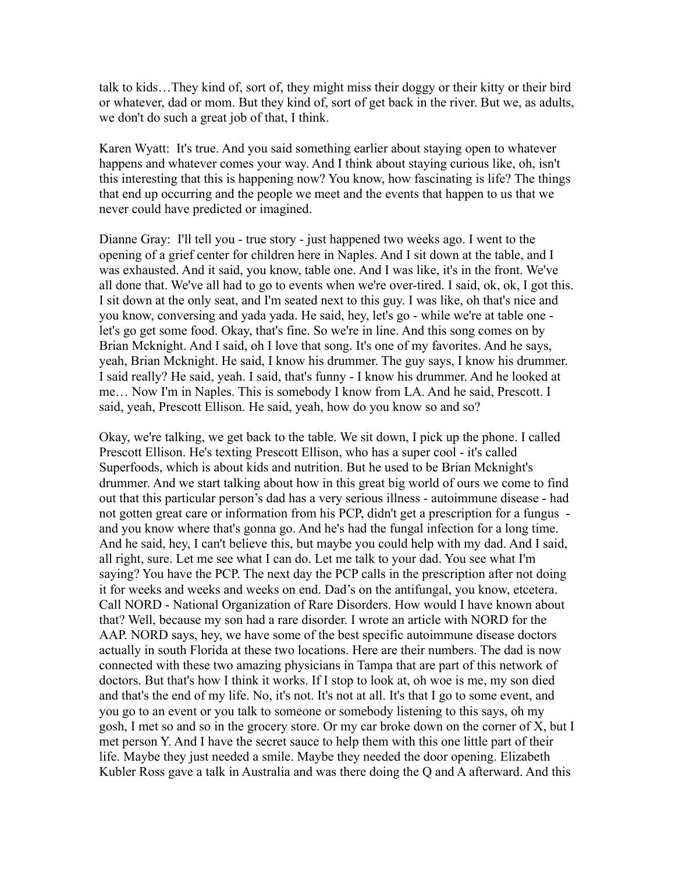talk to kids…They kind of, sort of, they might miss their doggy or their kitty or their bird or whatever, dad or mom. But they kind of, sort of get back in the river. But we, as adults, we don't do such a great job of that, I think.

Karen Wyatt: It's true. And you said something earlier about staying open to whatever happens and whatever comes your way. And I think about staying curious like, oh, isn't this interesting that this is happening now? You know, how fascinating is life? The things that end up occurring and the people we meet and the events that happen to us that we never could have predicted or imagined.

Dianne Gray: I'll tell you - true story - just happened two weeks ago. I went to the opening of a grief center for children here in Naples. And I sit down at the table, and I was exhausted. And it said, you know, table one. And I was like, it's in the front. We've all done that. We've all had to go to events when we're over-tired. I said, ok, ok, I got this. I sit down at the only seat, and I'm seated next to this guy. I was like, oh that's nice and you know, conversing and yada yada. He said, hey, let's go - while we're at table one let's go get some food. Okay, that's fine. So we're in line. And this song comes on by Brian Mcknight. And I said, oh I love that song. It's one of my favorites. And he says, yeah, Brian Mcknight. He said, I know his drummer. The guy says, I know his drummer. I said really? He said, yeah. I said, that's funny - I know his drummer. And he looked at me… Now I'm in Naples. This is somebody I know from LA. And he said, Prescott. I said, yeah, Prescott Ellison. He said, yeah, how do you know so and so?

Okay, we're talking, we get back to the table. We sit down, I pick up the phone. I called Prescott Ellison. He's texting Prescott Ellison, who has a super cool - it's called Superfoods, which is about kids and nutrition. But he used to be Brian Mcknight's drummer. And we start talking about how in this great big world of ours we come to find out that this particular person's dad has a very serious illness - autoimmune disease - had not gotten great care or information from his PCP, didn't get a prescription for a fungus and you know where that's gonna go. And he's had the fungal infection for a long time. And he said, hey, I can't believe this, but maybe you could help with my dad. And I said, all right, sure. Let me see what I can do. Let me talk to your dad. You see what I'm saying? You have the PCP. The next day the PCP calls in the prescription after not doing it for weeks and weeks and weeks on end. Dad's on the antifungal, you know, etcetera. Call NORD - National Organization of Rare Disorders. How would I have known about that? Well, because my son had a rare disorder. I wrote an article with NORD for the AAP. NORD says, hey, we have some of the best specific autoimmune disease doctors actually in south Florida at these two locations. Here are their numbers. The dad is now connected with these two amazing physicians in Tampa that are part of this network of doctors. But that's how I think it works. If I stop to look at, oh woe is me, my son died and that's the end of my life. No, it's not. It's not at all. It's that I go to some event, and you go to an event or you talk to someone or somebody listening to this says, oh my gosh, I met so and so in the grocery store. Or my car broke down on the corner of X, but I met person Y. And I have the secret sauce to help them with this one little part of their life. Maybe they just needed a smile. Maybe they needed the door opening. Elizabeth Kubler Ross gave a talk in Australia and was there doing the Q and A afterward. And this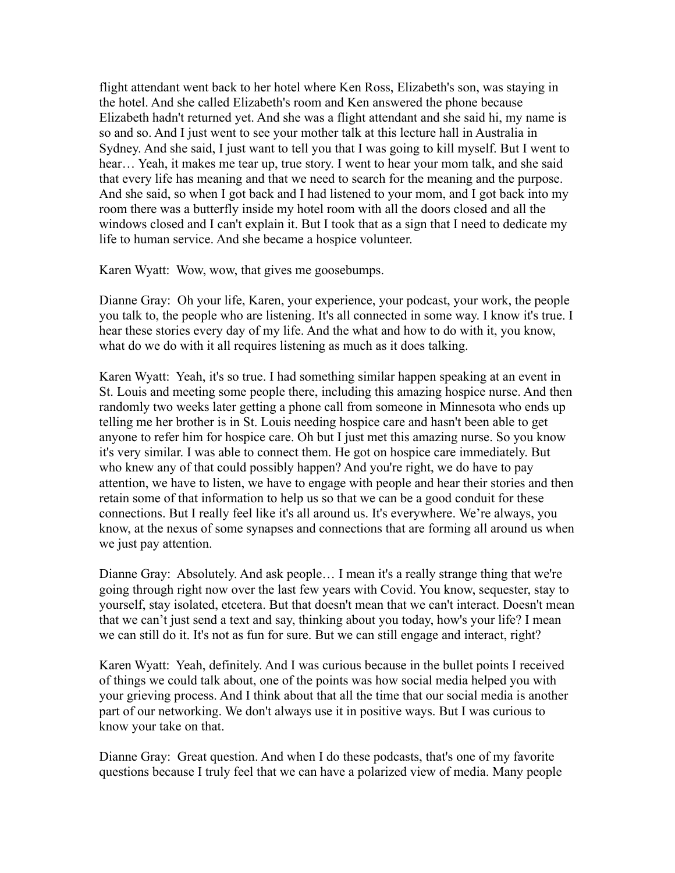flight attendant went back to her hotel where Ken Ross, Elizabeth's son, was staying in the hotel. And she called Elizabeth's room and Ken answered the phone because Elizabeth hadn't returned yet. And she was a flight attendant and she said hi, my name is so and so. And I just went to see your mother talk at this lecture hall in Australia in Sydney. And she said, I just want to tell you that I was going to kill myself. But I went to hear… Yeah, it makes me tear up, true story. I went to hear your mom talk, and she said that every life has meaning and that we need to search for the meaning and the purpose. And she said, so when I got back and I had listened to your mom, and I got back into my room there was a butterfly inside my hotel room with all the doors closed and all the windows closed and I can't explain it. But I took that as a sign that I need to dedicate my life to human service. And she became a hospice volunteer.

Karen Wyatt: Wow, wow, that gives me goosebumps.

Dianne Gray: Oh your life, Karen, your experience, your podcast, your work, the people you talk to, the people who are listening. It's all connected in some way. I know it's true. I hear these stories every day of my life. And the what and how to do with it, you know, what do we do with it all requires listening as much as it does talking.

Karen Wyatt: Yeah, it's so true. I had something similar happen speaking at an event in St. Louis and meeting some people there, including this amazing hospice nurse. And then randomly two weeks later getting a phone call from someone in Minnesota who ends up telling me her brother is in St. Louis needing hospice care and hasn't been able to get anyone to refer him for hospice care. Oh but I just met this amazing nurse. So you know it's very similar. I was able to connect them. He got on hospice care immediately. But who knew any of that could possibly happen? And you're right, we do have to pay attention, we have to listen, we have to engage with people and hear their stories and then retain some of that information to help us so that we can be a good conduit for these connections. But I really feel like it's all around us. It's everywhere. We're always, you know, at the nexus of some synapses and connections that are forming all around us when we just pay attention.

Dianne Gray: Absolutely. And ask people… I mean it's a really strange thing that we're going through right now over the last few years with Covid. You know, sequester, stay to yourself, stay isolated, etcetera. But that doesn't mean that we can't interact. Doesn't mean that we can't just send a text and say, thinking about you today, how's your life? I mean we can still do it. It's not as fun for sure. But we can still engage and interact, right?

Karen Wyatt: Yeah, definitely. And I was curious because in the bullet points I received of things we could talk about, one of the points was how social media helped you with your grieving process. And I think about that all the time that our social media is another part of our networking. We don't always use it in positive ways. But I was curious to know your take on that.

Dianne Gray: Great question. And when I do these podcasts, that's one of my favorite questions because I truly feel that we can have a polarized view of media. Many people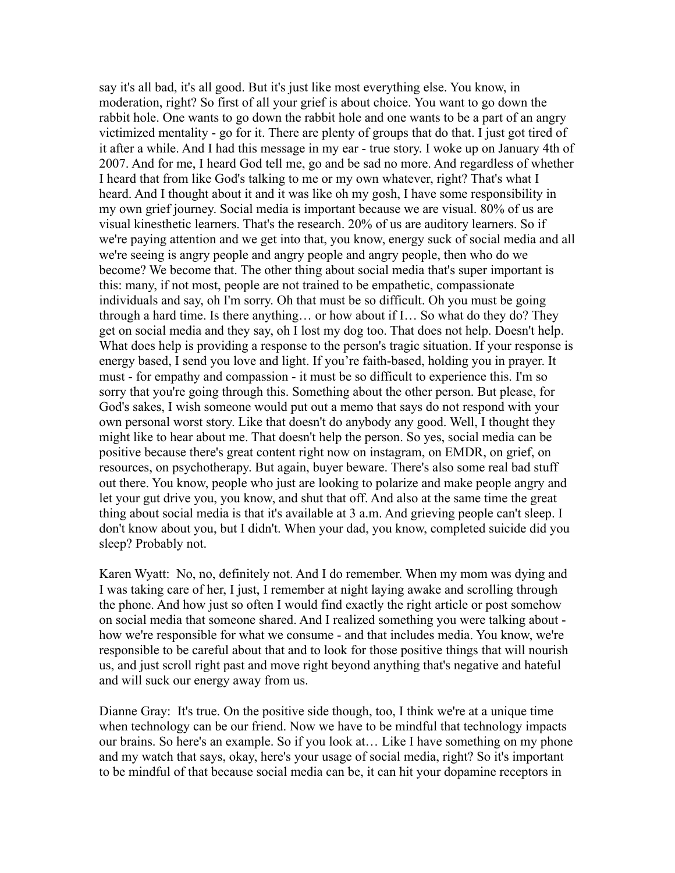say it's all bad, it's all good. But it's just like most everything else. You know, in moderation, right? So first of all your grief is about choice. You want to go down the rabbit hole. One wants to go down the rabbit hole and one wants to be a part of an angry victimized mentality - go for it. There are plenty of groups that do that. I just got tired of it after a while. And I had this message in my ear - true story. I woke up on January 4th of 2007. And for me, I heard God tell me, go and be sad no more. And regardless of whether I heard that from like God's talking to me or my own whatever, right? That's what I heard. And I thought about it and it was like oh my gosh, I have some responsibility in my own grief journey. Social media is important because we are visual. 80% of us are visual kinesthetic learners. That's the research. 20% of us are auditory learners. So if we're paying attention and we get into that, you know, energy suck of social media and all we're seeing is angry people and angry people and angry people, then who do we become? We become that. The other thing about social media that's super important is this: many, if not most, people are not trained to be empathetic, compassionate individuals and say, oh I'm sorry. Oh that must be so difficult. Oh you must be going through a hard time. Is there anything… or how about if I… So what do they do? They get on social media and they say, oh I lost my dog too. That does not help. Doesn't help. What does help is providing a response to the person's tragic situation. If your response is energy based, I send you love and light. If you're faith-based, holding you in prayer. It must - for empathy and compassion - it must be so difficult to experience this. I'm so sorry that you're going through this. Something about the other person. But please, for God's sakes, I wish someone would put out a memo that says do not respond with your own personal worst story. Like that doesn't do anybody any good. Well, I thought they might like to hear about me. That doesn't help the person. So yes, social media can be positive because there's great content right now on instagram, on EMDR, on grief, on resources, on psychotherapy. But again, buyer beware. There's also some real bad stuff out there. You know, people who just are looking to polarize and make people angry and let your gut drive you, you know, and shut that off. And also at the same time the great thing about social media is that it's available at 3 a.m. And grieving people can't sleep. I don't know about you, but I didn't. When your dad, you know, completed suicide did you sleep? Probably not.

Karen Wyatt: No, no, definitely not. And I do remember. When my mom was dying and I was taking care of her, I just, I remember at night laying awake and scrolling through the phone. And how just so often I would find exactly the right article or post somehow on social media that someone shared. And I realized something you were talking about how we're responsible for what we consume - and that includes media. You know, we're responsible to be careful about that and to look for those positive things that will nourish us, and just scroll right past and move right beyond anything that's negative and hateful and will suck our energy away from us.

Dianne Gray: It's true. On the positive side though, too, I think we're at a unique time when technology can be our friend. Now we have to be mindful that technology impacts our brains. So here's an example. So if you look at… Like I have something on my phone and my watch that says, okay, here's your usage of social media, right? So it's important to be mindful of that because social media can be, it can hit your dopamine receptors in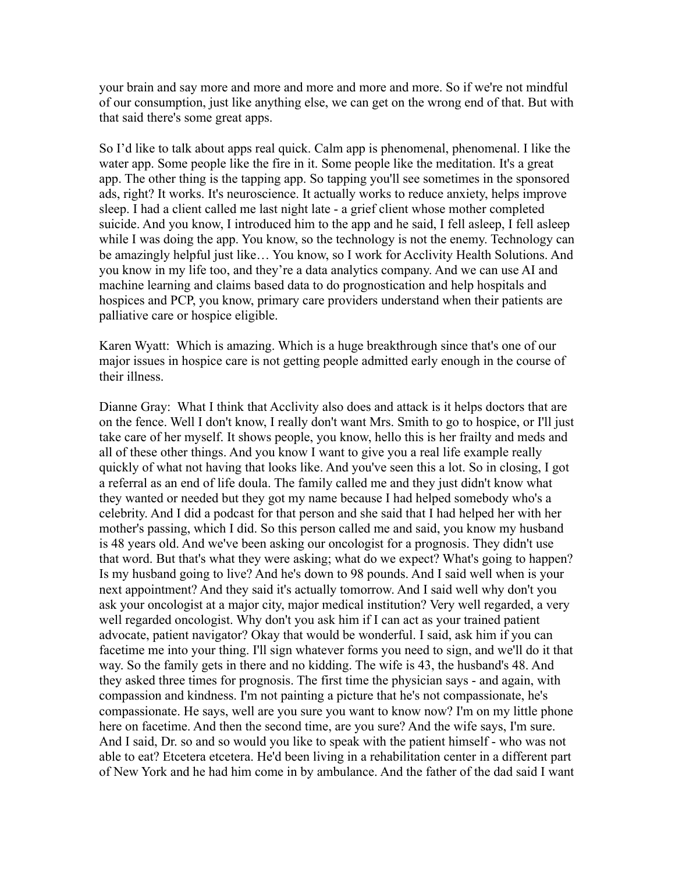your brain and say more and more and more and more and more. So if we're not mindful of our consumption, just like anything else, we can get on the wrong end of that. But with that said there's some great apps.

So I'd like to talk about apps real quick. Calm app is phenomenal, phenomenal. I like the water app. Some people like the fire in it. Some people like the meditation. It's a great app. The other thing is the tapping app. So tapping you'll see sometimes in the sponsored ads, right? It works. It's neuroscience. It actually works to reduce anxiety, helps improve sleep. I had a client called me last night late - a grief client whose mother completed suicide. And you know, I introduced him to the app and he said, I fell asleep, I fell asleep while I was doing the app. You know, so the technology is not the enemy. Technology can be amazingly helpful just like… You know, so I work for Acclivity Health Solutions. And you know in my life too, and they're a data analytics company. And we can use AI and machine learning and claims based data to do prognostication and help hospitals and hospices and PCP, you know, primary care providers understand when their patients are palliative care or hospice eligible.

Karen Wyatt: Which is amazing. Which is a huge breakthrough since that's one of our major issues in hospice care is not getting people admitted early enough in the course of their illness.

Dianne Gray: What I think that Acclivity also does and attack is it helps doctors that are on the fence. Well I don't know, I really don't want Mrs. Smith to go to hospice, or I'll just take care of her myself. It shows people, you know, hello this is her frailty and meds and all of these other things. And you know I want to give you a real life example really quickly of what not having that looks like. And you've seen this a lot. So in closing, I got a referral as an end of life doula. The family called me and they just didn't know what they wanted or needed but they got my name because I had helped somebody who's a celebrity. And I did a podcast for that person and she said that I had helped her with her mother's passing, which I did. So this person called me and said, you know my husband is 48 years old. And we've been asking our oncologist for a prognosis. They didn't use that word. But that's what they were asking; what do we expect? What's going to happen? Is my husband going to live? And he's down to 98 pounds. And I said well when is your next appointment? And they said it's actually tomorrow. And I said well why don't you ask your oncologist at a major city, major medical institution? Very well regarded, a very well regarded oncologist. Why don't you ask him if I can act as your trained patient advocate, patient navigator? Okay that would be wonderful. I said, ask him if you can facetime me into your thing. I'll sign whatever forms you need to sign, and we'll do it that way. So the family gets in there and no kidding. The wife is 43, the husband's 48. And they asked three times for prognosis. The first time the physician says - and again, with compassion and kindness. I'm not painting a picture that he's not compassionate, he's compassionate. He says, well are you sure you want to know now? I'm on my little phone here on facetime. And then the second time, are you sure? And the wife says, I'm sure. And I said, Dr. so and so would you like to speak with the patient himself - who was not able to eat? Etcetera etcetera. He'd been living in a rehabilitation center in a different part of New York and he had him come in by ambulance. And the father of the dad said I want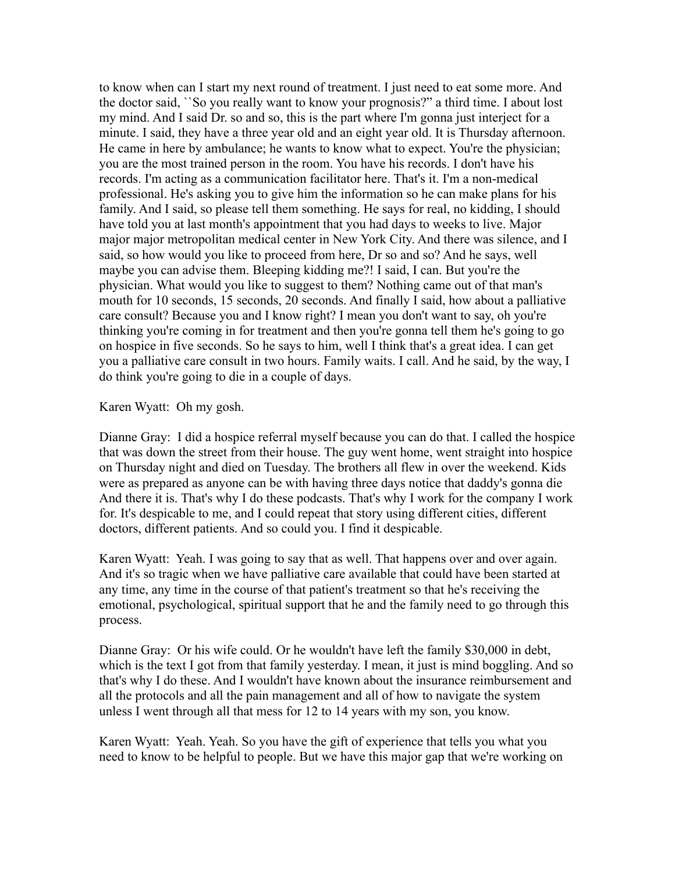to know when can I start my next round of treatment. I just need to eat some more. And the doctor said, ``So you really want to know your prognosis?" a third time. I about lost my mind. And I said Dr. so and so, this is the part where I'm gonna just interject for a minute. I said, they have a three year old and an eight year old. It is Thursday afternoon. He came in here by ambulance; he wants to know what to expect. You're the physician; you are the most trained person in the room. You have his records. I don't have his records. I'm acting as a communication facilitator here. That's it. I'm a non-medical professional. He's asking you to give him the information so he can make plans for his family. And I said, so please tell them something. He says for real, no kidding, I should have told you at last month's appointment that you had days to weeks to live. Major major major metropolitan medical center in New York City. And there was silence, and I said, so how would you like to proceed from here, Dr so and so? And he says, well maybe you can advise them. Bleeping kidding me?! I said, I can. But you're the physician. What would you like to suggest to them? Nothing came out of that man's mouth for 10 seconds, 15 seconds, 20 seconds. And finally I said, how about a palliative care consult? Because you and I know right? I mean you don't want to say, oh you're thinking you're coming in for treatment and then you're gonna tell them he's going to go on hospice in five seconds. So he says to him, well I think that's a great idea. I can get you a palliative care consult in two hours. Family waits. I call. And he said, by the way, I do think you're going to die in a couple of days.

Karen Wyatt: Oh my gosh.

Dianne Gray: I did a hospice referral myself because you can do that. I called the hospice that was down the street from their house. The guy went home, went straight into hospice on Thursday night and died on Tuesday. The brothers all flew in over the weekend. Kids were as prepared as anyone can be with having three days notice that daddy's gonna die And there it is. That's why I do these podcasts. That's why I work for the company I work for. It's despicable to me, and I could repeat that story using different cities, different doctors, different patients. And so could you. I find it despicable.

Karen Wyatt: Yeah. I was going to say that as well. That happens over and over again. And it's so tragic when we have palliative care available that could have been started at any time, any time in the course of that patient's treatment so that he's receiving the emotional, psychological, spiritual support that he and the family need to go through this process.

Dianne Gray: Or his wife could. Or he wouldn't have left the family \$30,000 in debt, which is the text I got from that family yesterday. I mean, it just is mind boggling. And so that's why I do these. And I wouldn't have known about the insurance reimbursement and all the protocols and all the pain management and all of how to navigate the system unless I went through all that mess for 12 to 14 years with my son, you know.

Karen Wyatt: Yeah. Yeah. So you have the gift of experience that tells you what you need to know to be helpful to people. But we have this major gap that we're working on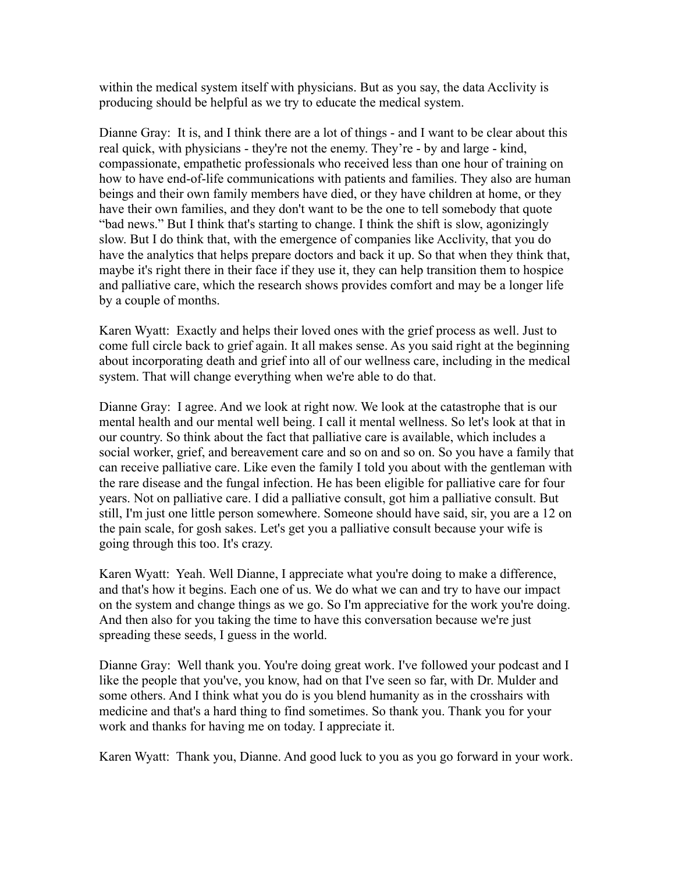within the medical system itself with physicians. But as you say, the data Acclivity is producing should be helpful as we try to educate the medical system.

Dianne Gray: It is, and I think there are a lot of things - and I want to be clear about this real quick, with physicians - they're not the enemy. They're - by and large - kind, compassionate, empathetic professionals who received less than one hour of training on how to have end-of-life communications with patients and families. They also are human beings and their own family members have died, or they have children at home, or they have their own families, and they don't want to be the one to tell somebody that quote "bad news." But I think that's starting to change. I think the shift is slow, agonizingly slow. But I do think that, with the emergence of companies like Acclivity, that you do have the analytics that helps prepare doctors and back it up. So that when they think that, maybe it's right there in their face if they use it, they can help transition them to hospice and palliative care, which the research shows provides comfort and may be a longer life by a couple of months.

Karen Wyatt: Exactly and helps their loved ones with the grief process as well. Just to come full circle back to grief again. It all makes sense. As you said right at the beginning about incorporating death and grief into all of our wellness care, including in the medical system. That will change everything when we're able to do that.

Dianne Gray: I agree. And we look at right now. We look at the catastrophe that is our mental health and our mental well being. I call it mental wellness. So let's look at that in our country. So think about the fact that palliative care is available, which includes a social worker, grief, and bereavement care and so on and so on. So you have a family that can receive palliative care. Like even the family I told you about with the gentleman with the rare disease and the fungal infection. He has been eligible for palliative care for four years. Not on palliative care. I did a palliative consult, got him a palliative consult. But still, I'm just one little person somewhere. Someone should have said, sir, you are a 12 on the pain scale, for gosh sakes. Let's get you a palliative consult because your wife is going through this too. It's crazy.

Karen Wyatt: Yeah. Well Dianne, I appreciate what you're doing to make a difference, and that's how it begins. Each one of us. We do what we can and try to have our impact on the system and change things as we go. So I'm appreciative for the work you're doing. And then also for you taking the time to have this conversation because we're just spreading these seeds, I guess in the world.

Dianne Gray: Well thank you. You're doing great work. I've followed your podcast and I like the people that you've, you know, had on that I've seen so far, with Dr. Mulder and some others. And I think what you do is you blend humanity as in the crosshairs with medicine and that's a hard thing to find sometimes. So thank you. Thank you for your work and thanks for having me on today. I appreciate it.

Karen Wyatt: Thank you, Dianne. And good luck to you as you go forward in your work.